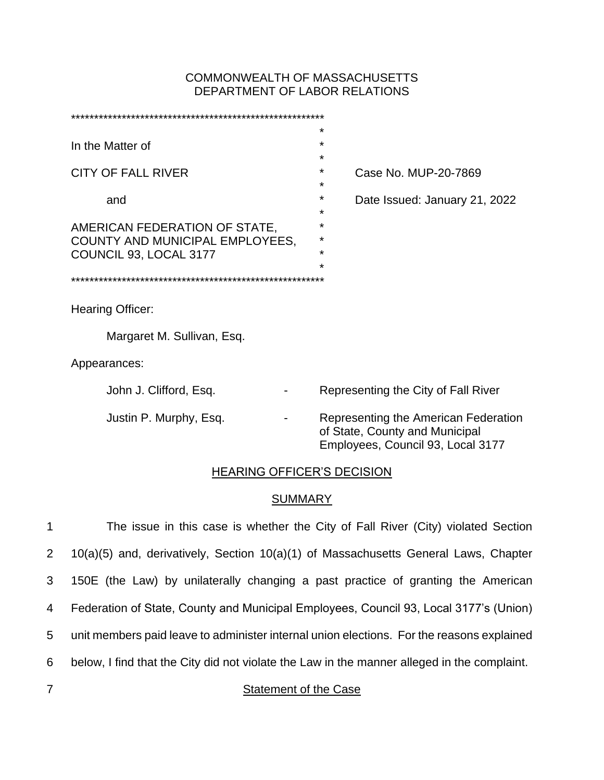# COMMONWEALTH OF MASSACHUSETTS DEPARTMENT OF LABOR RELATIONS

|                                                                  | $\star$                                                                                                     |  |  |
|------------------------------------------------------------------|-------------------------------------------------------------------------------------------------------------|--|--|
| In the Matter of                                                 | $\star$                                                                                                     |  |  |
|                                                                  | $\star$                                                                                                     |  |  |
| <b>CITY OF FALL RIVER</b>                                        | $\star$<br>Case No. MUP-20-7869                                                                             |  |  |
|                                                                  | $\star$                                                                                                     |  |  |
| and                                                              | $\star$<br>Date Issued: January 21, 2022<br>$\star$                                                         |  |  |
|                                                                  | $\star$                                                                                                     |  |  |
| AMERICAN FEDERATION OF STATE,<br>COUNTY AND MUNICIPAL EMPLOYEES, | *                                                                                                           |  |  |
| COUNCIL 93, LOCAL 3177                                           | $\star$                                                                                                     |  |  |
|                                                                  | $\star$                                                                                                     |  |  |
|                                                                  |                                                                                                             |  |  |
|                                                                  |                                                                                                             |  |  |
| Hearing Officer:                                                 |                                                                                                             |  |  |
| Margaret M. Sullivan, Esq.                                       |                                                                                                             |  |  |
|                                                                  |                                                                                                             |  |  |
| Appearances:                                                     |                                                                                                             |  |  |
| John J. Clifford, Esq.                                           | Representing the City of Fall River                                                                         |  |  |
|                                                                  |                                                                                                             |  |  |
| Justin P. Murphy, Esq.                                           | Representing the American Federation<br>of State, County and Municipal<br>Employees, Council 93, Local 3177 |  |  |
|                                                                  |                                                                                                             |  |  |
| <b>HEARING OFFICER'S DECISION</b>                                |                                                                                                             |  |  |

# **SUMMARY**

| $\mathbf{1}$   | The issue in this case is whether the City of Fall River (City) violated Section            |
|----------------|---------------------------------------------------------------------------------------------|
| $2^{\circ}$    | 10(a)(5) and, derivatively, Section 10(a)(1) of Massachusetts General Laws, Chapter         |
| 3              | 150E (the Law) by unilaterally changing a past practice of granting the American            |
| $\overline{4}$ | Federation of State, County and Municipal Employees, Council 93, Local 3177's (Union)       |
| 5              | unit members paid leave to administer internal union elections. For the reasons explained   |
| 6              | below, I find that the City did not violate the Law in the manner alleged in the complaint. |
| $\overline{7}$ | Statement of the Case                                                                       |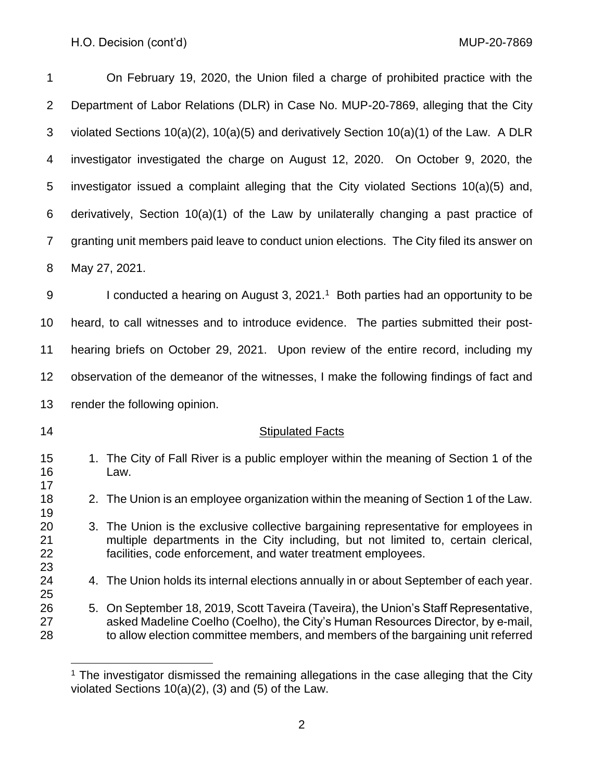| 1                    | On February 19, 2020, the Union filed a charge of prohibited practice with the                                                                                                                                                                              |
|----------------------|-------------------------------------------------------------------------------------------------------------------------------------------------------------------------------------------------------------------------------------------------------------|
| 2                    | Department of Labor Relations (DLR) in Case No. MUP-20-7869, alleging that the City                                                                                                                                                                         |
| 3                    | violated Sections $10(a)(2)$ , $10(a)(5)$ and derivatively Section $10(a)(1)$ of the Law. A DLR                                                                                                                                                             |
| 4                    | investigator investigated the charge on August 12, 2020. On October 9, 2020, the                                                                                                                                                                            |
| 5                    | investigator issued a complaint alleging that the City violated Sections 10(a)(5) and,                                                                                                                                                                      |
| 6                    | derivatively, Section 10(a)(1) of the Law by unilaterally changing a past practice of                                                                                                                                                                       |
| $\overline{7}$       | granting unit members paid leave to conduct union elections. The City filed its answer on                                                                                                                                                                   |
| 8                    | May 27, 2021.                                                                                                                                                                                                                                               |
| $9\,$                | I conducted a hearing on August 3, $20211$ Both parties had an opportunity to be                                                                                                                                                                            |
| 10                   | heard, to call witnesses and to introduce evidence. The parties submitted their post-                                                                                                                                                                       |
| 11                   | hearing briefs on October 29, 2021. Upon review of the entire record, including my                                                                                                                                                                          |
| 12                   | observation of the demeanor of the witnesses, I make the following findings of fact and                                                                                                                                                                     |
| 13                   | render the following opinion.                                                                                                                                                                                                                               |
| 14                   | <b>Stipulated Facts</b>                                                                                                                                                                                                                                     |
| 15<br>16             | 1. The City of Fall River is a public employer within the meaning of Section 1 of the<br>Law.                                                                                                                                                               |
| 17<br>18<br>19       | 2. The Union is an employee organization within the meaning of Section 1 of the Law.                                                                                                                                                                        |
| 20<br>21<br>22<br>23 | 3. The Union is the exclusive collective bargaining representative for employees in<br>multiple departments in the City including, but not limited to, certain clerical,<br>facilities, code enforcement, and water treatment employees.                    |
| 24<br>25             | 4. The Union holds its internal elections annually in or about September of each year.                                                                                                                                                                      |
| 26<br>27<br>28       | 5. On September 18, 2019, Scott Taveira (Taveira), the Union's Staff Representative,<br>asked Madeline Coelho (Coelho), the City's Human Resources Director, by e-mail,<br>to allow election committee members, and members of the bargaining unit referred |

 The investigator dismissed the remaining allegations in the case alleging that the City violated Sections 10(a)(2), (3) and (5) of the Law.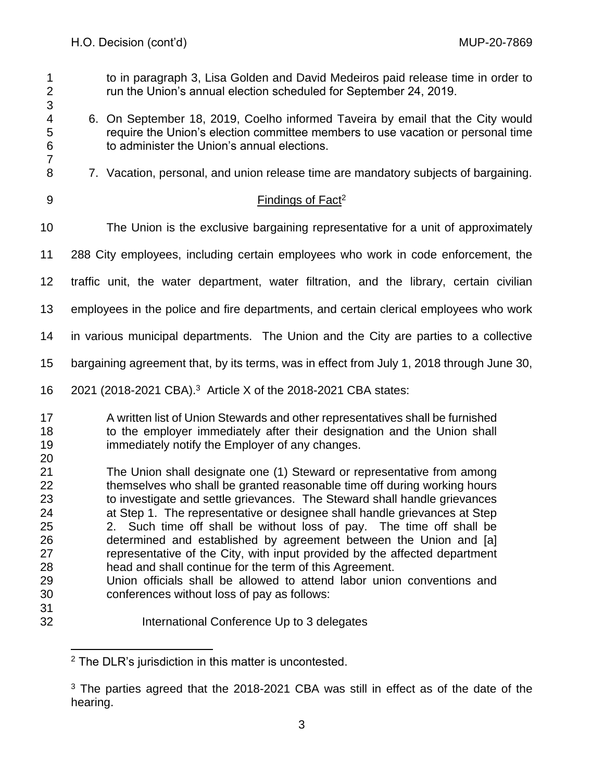| 1<br>$\overline{\mathbf{c}}$<br>3                                    | to in paragraph 3, Lisa Golden and David Medeiros paid release time in order to<br>run the Union's annual election scheduled for September 24, 2019.                                                                                                                                                                                                                                                                                                                                                                                                                                                                                                                                                                        |
|----------------------------------------------------------------------|-----------------------------------------------------------------------------------------------------------------------------------------------------------------------------------------------------------------------------------------------------------------------------------------------------------------------------------------------------------------------------------------------------------------------------------------------------------------------------------------------------------------------------------------------------------------------------------------------------------------------------------------------------------------------------------------------------------------------------|
| 4<br>5<br>6<br>$\overline{7}$                                        | 6. On September 18, 2019, Coelho informed Taveira by email that the City would<br>require the Union's election committee members to use vacation or personal time<br>to administer the Union's annual elections.                                                                                                                                                                                                                                                                                                                                                                                                                                                                                                            |
| 8                                                                    | 7. Vacation, personal, and union release time are mandatory subjects of bargaining.                                                                                                                                                                                                                                                                                                                                                                                                                                                                                                                                                                                                                                         |
| $9\,$                                                                | Findings of Fact <sup>2</sup>                                                                                                                                                                                                                                                                                                                                                                                                                                                                                                                                                                                                                                                                                               |
| 10                                                                   | The Union is the exclusive bargaining representative for a unit of approximately                                                                                                                                                                                                                                                                                                                                                                                                                                                                                                                                                                                                                                            |
| 11                                                                   | 288 City employees, including certain employees who work in code enforcement, the                                                                                                                                                                                                                                                                                                                                                                                                                                                                                                                                                                                                                                           |
| 12                                                                   | traffic unit, the water department, water filtration, and the library, certain civilian                                                                                                                                                                                                                                                                                                                                                                                                                                                                                                                                                                                                                                     |
| 13                                                                   | employees in the police and fire departments, and certain clerical employees who work                                                                                                                                                                                                                                                                                                                                                                                                                                                                                                                                                                                                                                       |
| 14                                                                   | in various municipal departments. The Union and the City are parties to a collective                                                                                                                                                                                                                                                                                                                                                                                                                                                                                                                                                                                                                                        |
| 15                                                                   | bargaining agreement that, by its terms, was in effect from July 1, 2018 through June 30,                                                                                                                                                                                                                                                                                                                                                                                                                                                                                                                                                                                                                                   |
| 16                                                                   | 2021 (2018-2021 CBA). <sup>3</sup> Article X of the 2018-2021 CBA states:                                                                                                                                                                                                                                                                                                                                                                                                                                                                                                                                                                                                                                                   |
| 17<br>18<br>19                                                       | A written list of Union Stewards and other representatives shall be furnished<br>to the employer immediately after their designation and the Union shall<br>immediately notify the Employer of any changes.                                                                                                                                                                                                                                                                                                                                                                                                                                                                                                                 |
| 20<br>21<br>22<br>23<br>24<br>25<br>26<br>27<br>28<br>29<br>30<br>31 | The Union shall designate one (1) Steward or representative from among<br>themselves who shall be granted reasonable time off during working hours<br>to investigate and settle grievances. The Steward shall handle grievances<br>at Step 1. The representative or designee shall handle grievances at Step<br>2. Such time off shall be without loss of pay. The time off shall be<br>determined and established by agreement between the Union and [a]<br>representative of the City, with input provided by the affected department<br>head and shall continue for the term of this Agreement.<br>Union officials shall be allowed to attend labor union conventions and<br>conferences without loss of pay as follows: |
| 32                                                                   | International Conference Up to 3 delegates                                                                                                                                                                                                                                                                                                                                                                                                                                                                                                                                                                                                                                                                                  |

The DLR's jurisdiction in this matter is uncontested.

<sup>&</sup>lt;sup>3</sup> The parties agreed that the 2018-2021 CBA was still in effect as of the date of the hearing.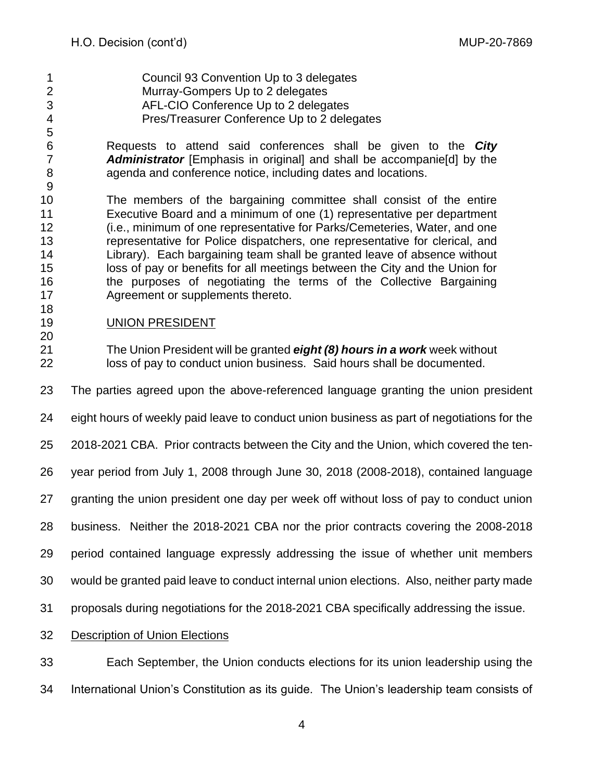- Council 93 Convention Up to 3 delegates Murray-Gompers Up to 2 delegates AFL-CIO Conference Up to 2 delegates Pres/Treasurer Conference Up to 2 delegates
- 

 Requests to attend said conferences shall be given to the *City Administrator* [Emphasis in original] and shall be accompanie[d] by the agenda and conference notice, including dates and locations.

 The members of the bargaining committee shall consist of the entire Executive Board and a minimum of one (1) representative per department (i.e., minimum of one representative for Parks/Cemeteries, Water, and one representative for Police dispatchers, one representative for clerical, and Library). Each bargaining team shall be granted leave of absence without loss of pay or benefits for all meetings between the City and the Union for the purposes of negotiating the terms of the Collective Bargaining Agreement or supplements thereto.

- UNION PRESIDENT
- The Union President will be granted *eight (8) hours in a work* week without loss of pay to conduct union business. Said hours shall be documented.

The parties agreed upon the above-referenced language granting the union president

- eight hours of weekly paid leave to conduct union business as part of negotiations for the
- 2018-2021 CBA. Prior contracts between the City and the Union, which covered the ten-

year period from July 1, 2008 through June 30, 2018 (2008-2018), contained language

- granting the union president one day per week off without loss of pay to conduct union
- business. Neither the 2018-2021 CBA nor the prior contracts covering the 2008-2018

period contained language expressly addressing the issue of whether unit members

- would be granted paid leave to conduct internal union elections. Also, neither party made
- proposals during negotiations for the 2018-2021 CBA specifically addressing the issue.
- Description of Union Elections

 Each September, the Union conducts elections for its union leadership using the International Union's Constitution as its guide. The Union's leadership team consists of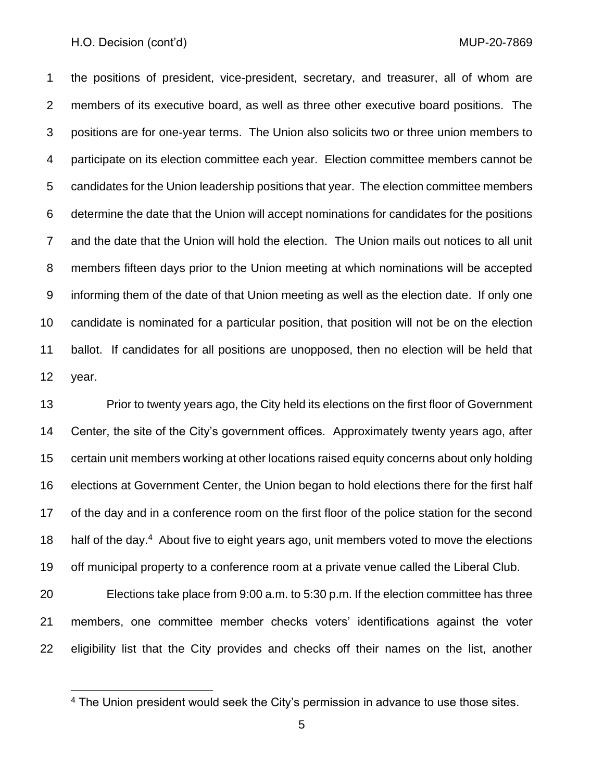the positions of president, vice-president, secretary, and treasurer, all of whom are members of its executive board, as well as three other executive board positions. The positions are for one-year terms. The Union also solicits two or three union members to participate on its election committee each year. Election committee members cannot be candidates for the Union leadership positions that year. The election committee members determine the date that the Union will accept nominations for candidates for the positions and the date that the Union will hold the election. The Union mails out notices to all unit members fifteen days prior to the Union meeting at which nominations will be accepted informing them of the date of that Union meeting as well as the election date. If only one candidate is nominated for a particular position, that position will not be on the election ballot. If candidates for all positions are unopposed, then no election will be held that year.

13 Prior to twenty years ago, the City held its elections on the first floor of Government Center, the site of the City's government offices. Approximately twenty years ago, after certain unit members working at other locations raised equity concerns about only holding elections at Government Center, the Union began to hold elections there for the first half of the day and in a conference room on the first floor of the police station for the second 18 half of the day.<sup>4</sup> About five to eight years ago, unit members voted to move the elections off municipal property to a conference room at a private venue called the Liberal Club.

 Elections take place from 9:00 a.m. to 5:30 p.m. If the election committee has three members, one committee member checks voters' identifications against the voter eligibility list that the City provides and checks off their names on the list, another

The Union president would seek the City's permission in advance to use those sites.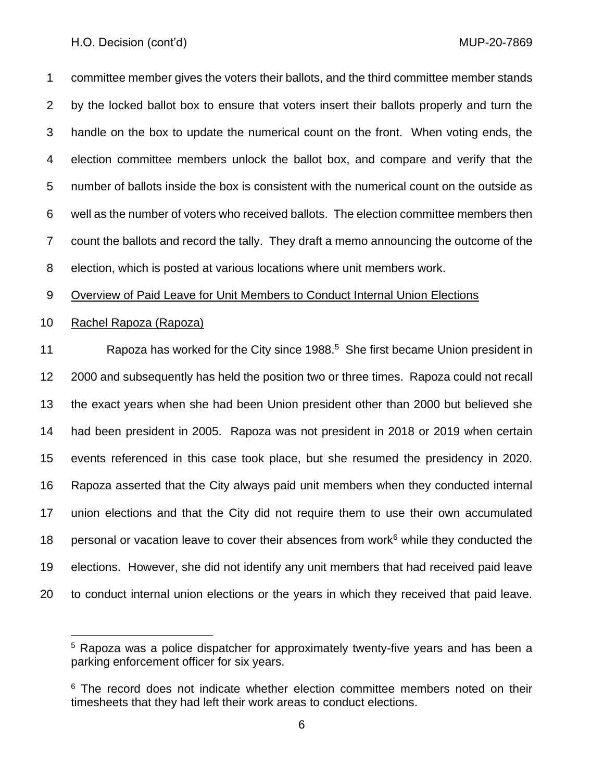committee member gives the voters their ballots, and the third committee member stands by the locked ballot box to ensure that voters insert their ballots properly and turn the handle on the box to update the numerical count on the front. When voting ends, the election committee members unlock the ballot box, and compare and verify that the number of ballots inside the box is consistent with the numerical count on the outside as well as the number of voters who received ballots. The election committee members then count the ballots and record the tally. They draft a memo announcing the outcome of the election, which is posted at various locations where unit members work.

Overview of Paid Leave for Unit Members to Conduct Internal Union Elections

### Rachel Rapoza (Rapoza)

11 Rapoza has worked for the City since 1988.<sup>5</sup> She first became Union president in 2000 and subsequently has held the position two or three times. Rapoza could not recall the exact years when she had been Union president other than 2000 but believed she had been president in 2005. Rapoza was not president in 2018 or 2019 when certain events referenced in this case took place, but she resumed the presidency in 2020. Rapoza asserted that the City always paid unit members when they conducted internal union elections and that the City did not require them to use their own accumulated 18 personal or vacation leave to cover their absences from work<sup>6</sup> while they conducted the elections. However, she did not identify any unit members that had received paid leave to conduct internal union elections or the years in which they received that paid leave.

<sup>&</sup>lt;sup>5</sup> Rapoza was a police dispatcher for approximately twenty-five years and has been a parking enforcement officer for six years.

 The record does not indicate whether election committee members noted on their timesheets that they had left their work areas to conduct elections.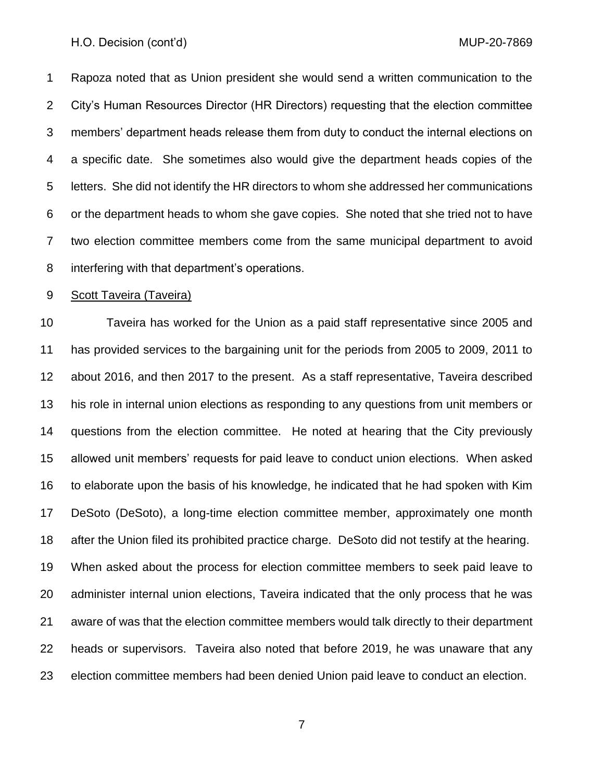Rapoza noted that as Union president she would send a written communication to the City's Human Resources Director (HR Directors) requesting that the election committee members' department heads release them from duty to conduct the internal elections on a specific date. She sometimes also would give the department heads copies of the letters. She did not identify the HR directors to whom she addressed her communications or the department heads to whom she gave copies. She noted that she tried not to have two election committee members come from the same municipal department to avoid interfering with that department's operations.

#### Scott Taveira (Taveira)

 Taveira has worked for the Union as a paid staff representative since 2005 and has provided services to the bargaining unit for the periods from 2005 to 2009, 2011 to about 2016, and then 2017 to the present. As a staff representative, Taveira described his role in internal union elections as responding to any questions from unit members or questions from the election committee. He noted at hearing that the City previously allowed unit members' requests for paid leave to conduct union elections. When asked to elaborate upon the basis of his knowledge, he indicated that he had spoken with Kim DeSoto (DeSoto), a long-time election committee member, approximately one month after the Union filed its prohibited practice charge. DeSoto did not testify at the hearing. When asked about the process for election committee members to seek paid leave to administer internal union elections, Taveira indicated that the only process that he was aware of was that the election committee members would talk directly to their department heads or supervisors. Taveira also noted that before 2019, he was unaware that any election committee members had been denied Union paid leave to conduct an election.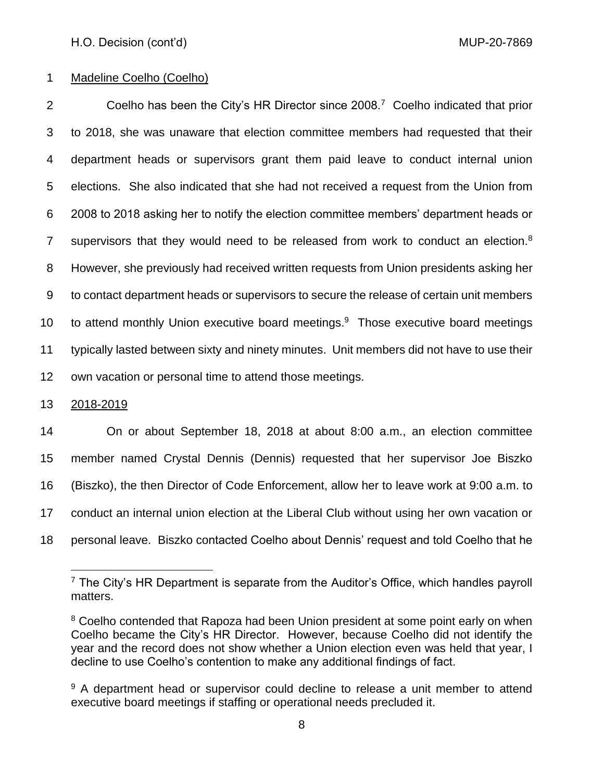### Madeline Coelho (Coelho)

2 Coelho has been the City's HR Director since 2008.<sup>7</sup> Coelho indicated that prior to 2018, she was unaware that election committee members had requested that their department heads or supervisors grant them paid leave to conduct internal union elections. She also indicated that she had not received a request from the Union from 2008 to 2018 asking her to notify the election committee members' department heads or 7 supervisors that they would need to be released from work to conduct an election. However, she previously had received written requests from Union presidents asking her to contact department heads or supervisors to secure the release of certain unit members 10 to attend monthly Union executive board meetings. Those executive board meetings typically lasted between sixty and ninety minutes. Unit members did not have to use their own vacation or personal time to attend those meetings.

### 2018-2019

 On or about September 18, 2018 at about 8:00 a.m., an election committee member named Crystal Dennis (Dennis) requested that her supervisor Joe Biszko (Biszko), the then Director of Code Enforcement, allow her to leave work at 9:00 a.m. to conduct an internal union election at the Liberal Club without using her own vacation or personal leave. Biszko contacted Coelho about Dennis' request and told Coelho that he

<sup>&</sup>lt;sup>7</sup> The City's HR Department is separate from the Auditor's Office, which handles payroll matters.

<sup>&</sup>lt;sup>8</sup> Coelho contended that Rapoza had been Union president at some point early on when Coelho became the City's HR Director. However, because Coelho did not identify the year and the record does not show whether a Union election even was held that year, I decline to use Coelho's contention to make any additional findings of fact.

<sup>&</sup>lt;sup>9</sup> A department head or supervisor could decline to release a unit member to attend executive board meetings if staffing or operational needs precluded it.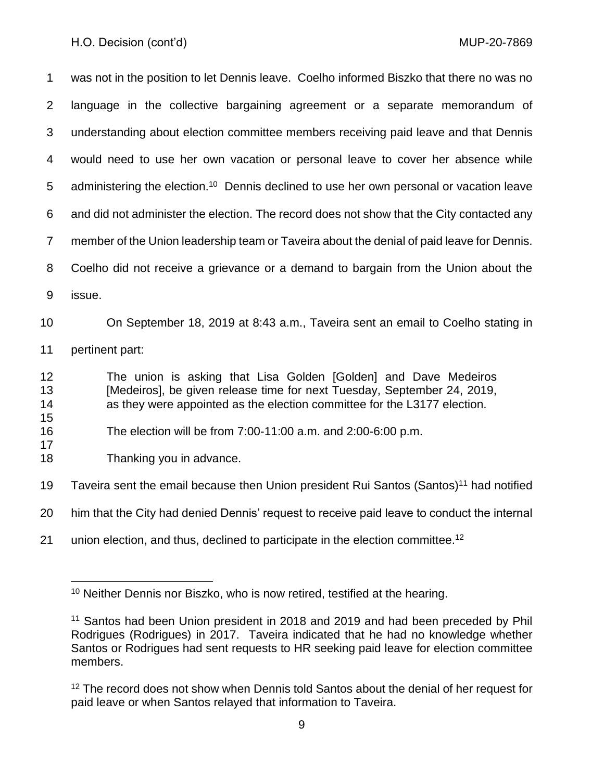was not in the position to let Dennis leave. Coelho informed Biszko that there no was no language in the collective bargaining agreement or a separate memorandum of understanding about election committee members receiving paid leave and that Dennis would need to use her own vacation or personal leave to cover her absence while 5 administering the election.<sup>10</sup> Dennis declined to use her own personal or vacation leave and did not administer the election. The record does not show that the City contacted any member of the Union leadership team or Taveira about the denial of paid leave for Dennis. Coelho did not receive a grievance or a demand to bargain from the Union about the issue. On September 18, 2019 at 8:43 a.m., Taveira sent an email to Coelho stating in pertinent part: The union is asking that Lisa Golden [Golden] and Dave Medeiros [Medeiros], be given release time for next Tuesday, September 24, 2019, as they were appointed as the election committee for the L3177 election. The election will be from 7:00-11:00 a.m. and 2:00-6:00 p.m. Thanking you in advance. 19 Taveira sent the email because then Union president Rui Santos (Santos)<sup>11</sup> had notified

him that the City had denied Dennis' request to receive paid leave to conduct the internal

21 union election, and thus, declined to participate in the election committee.<sup>12</sup>

<sup>&</sup>lt;sup>10</sup> Neither Dennis nor Biszko, who is now retired, testified at the hearing.

<sup>&</sup>lt;sup>11</sup> Santos had been Union president in 2018 and 2019 and had been preceded by Phil Rodrigues (Rodrigues) in 2017. Taveira indicated that he had no knowledge whether Santos or Rodrigues had sent requests to HR seeking paid leave for election committee members.

<sup>&</sup>lt;sup>12</sup> The record does not show when Dennis told Santos about the denial of her request for paid leave or when Santos relayed that information to Taveira.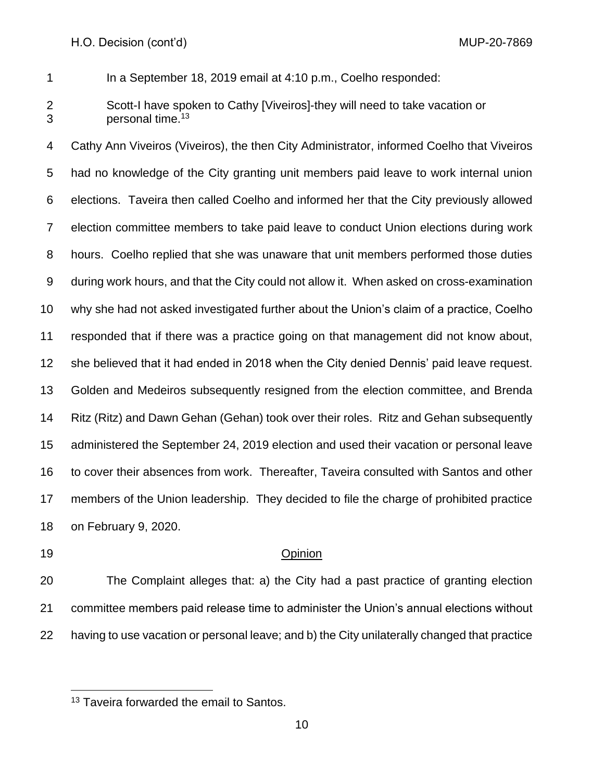In a September 18, 2019 email at 4:10 p.m., Coelho responded:

 Scott-I have spoken to Cathy [Viveiros]-they will need to take vacation or 3 **personal time.**<sup>13</sup>

 Cathy Ann Viveiros (Viveiros), the then City Administrator, informed Coelho that Viveiros had no knowledge of the City granting unit members paid leave to work internal union elections. Taveira then called Coelho and informed her that the City previously allowed election committee members to take paid leave to conduct Union elections during work hours. Coelho replied that she was unaware that unit members performed those duties during work hours, and that the City could not allow it. When asked on cross-examination why she had not asked investigated further about the Union's claim of a practice, Coelho responded that if there was a practice going on that management did not know about, she believed that it had ended in 2018 when the City denied Dennis' paid leave request. Golden and Medeiros subsequently resigned from the election committee, and Brenda Ritz (Ritz) and Dawn Gehan (Gehan) took over their roles. Ritz and Gehan subsequently administered the September 24, 2019 election and used their vacation or personal leave to cover their absences from work. Thereafter, Taveira consulted with Santos and other members of the Union leadership. They decided to file the charge of prohibited practice on February 9, 2020.

### Opinion

 The Complaint alleges that: a) the City had a past practice of granting election committee members paid release time to administer the Union's annual elections without having to use vacation or personal leave; and b) the City unilaterally changed that practice

<sup>&</sup>lt;sup>13</sup> Taveira forwarded the email to Santos.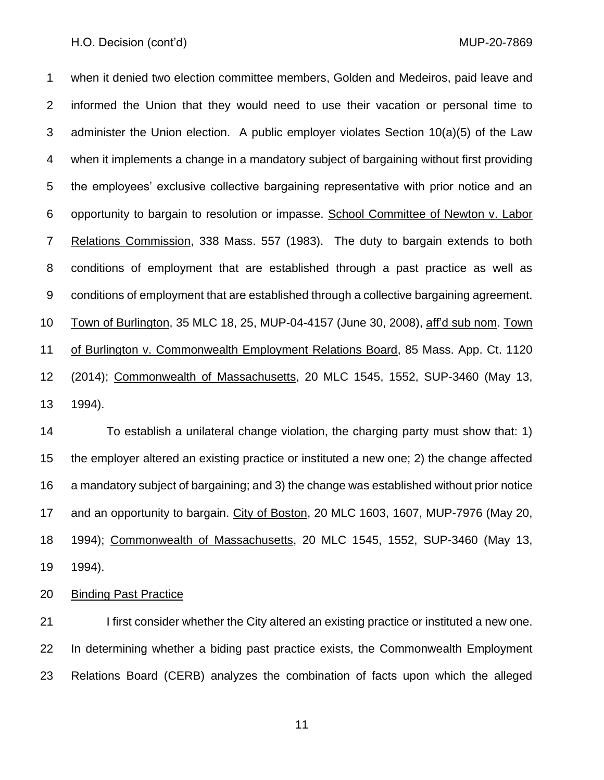when it denied two election committee members, Golden and Medeiros, paid leave and informed the Union that they would need to use their vacation or personal time to administer the Union election. A public employer violates Section 10(a)(5) of the Law when it implements a change in a mandatory subject of bargaining without first providing the employees' exclusive collective bargaining representative with prior notice and an opportunity to bargain to resolution or impasse. School Committee of Newton v. Labor Relations Commission, 338 Mass. 557 (1983). The duty to bargain extends to both conditions of employment that are established through a past practice as well as conditions of employment that are established through a collective bargaining agreement. Town of Burlington, 35 MLC 18, 25, MUP-04-4157 (June 30, 2008), aff'd sub nom. Town of Burlington v. Commonwealth Employment Relations Board, 85 Mass. App. Ct. 1120 (2014); Commonwealth of Massachusetts, 20 MLC 1545, 1552, SUP-3460 (May 13, 1994).

 To establish a unilateral change violation, the charging party must show that: 1) the employer altered an existing practice or instituted a new one; 2) the change affected a mandatory subject of bargaining; and 3) the change was established without prior notice 17 and an opportunity to bargain. City of Boston, 20 MLC 1603, 1607, MUP-7976 (May 20, 1994); Commonwealth of Massachusetts, 20 MLC 1545, 1552, SUP-3460 (May 13, 1994).

Binding Past Practice

21 I first consider whether the City altered an existing practice or instituted a new one. In determining whether a biding past practice exists, the Commonwealth Employment Relations Board (CERB) analyzes the combination of facts upon which the alleged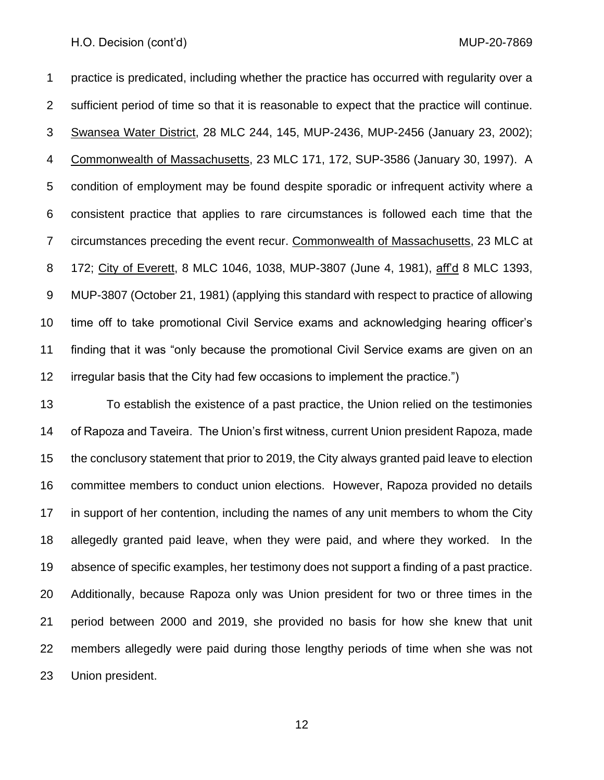practice is predicated, including whether the practice has occurred with regularity over a sufficient period of time so that it is reasonable to expect that the practice will continue. Swansea Water District, 28 MLC 244, 145, MUP-2436, MUP-2456 (January 23, 2002); Commonwealth of Massachusetts, 23 MLC 171, 172, SUP-3586 (January 30, 1997). A condition of employment may be found despite sporadic or infrequent activity where a consistent practice that applies to rare circumstances is followed each time that the circumstances preceding the event recur. Commonwealth of Massachusetts, 23 MLC at 172; City of Everett, 8 MLC 1046, 1038, MUP-3807 (June 4, 1981), aff'd 8 MLC 1393, MUP-3807 (October 21, 1981) (applying this standard with respect to practice of allowing time off to take promotional Civil Service exams and acknowledging hearing officer's finding that it was "only because the promotional Civil Service exams are given on an irregular basis that the City had few occasions to implement the practice.")

 To establish the existence of a past practice, the Union relied on the testimonies of Rapoza and Taveira. The Union's first witness, current Union president Rapoza, made the conclusory statement that prior to 2019, the City always granted paid leave to election committee members to conduct union elections. However, Rapoza provided no details in support of her contention, including the names of any unit members to whom the City allegedly granted paid leave, when they were paid, and where they worked. In the absence of specific examples, her testimony does not support a finding of a past practice. Additionally, because Rapoza only was Union president for two or three times in the period between 2000 and 2019, she provided no basis for how she knew that unit members allegedly were paid during those lengthy periods of time when she was not Union president.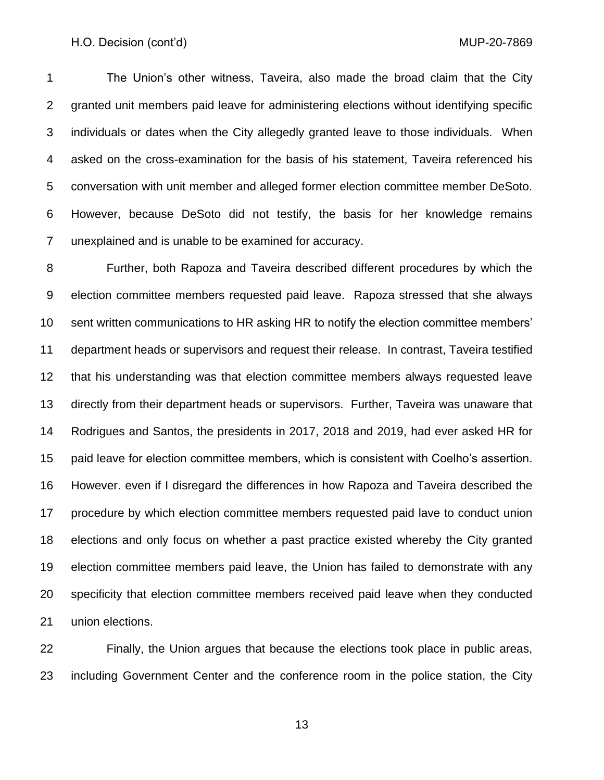The Union's other witness, Taveira, also made the broad claim that the City granted unit members paid leave for administering elections without identifying specific individuals or dates when the City allegedly granted leave to those individuals. When asked on the cross-examination for the basis of his statement, Taveira referenced his conversation with unit member and alleged former election committee member DeSoto. However, because DeSoto did not testify, the basis for her knowledge remains unexplained and is unable to be examined for accuracy.

 Further, both Rapoza and Taveira described different procedures by which the election committee members requested paid leave. Rapoza stressed that she always sent written communications to HR asking HR to notify the election committee members' department heads or supervisors and request their release. In contrast, Taveira testified that his understanding was that election committee members always requested leave directly from their department heads or supervisors. Further, Taveira was unaware that Rodrigues and Santos, the presidents in 2017, 2018 and 2019, had ever asked HR for paid leave for election committee members, which is consistent with Coelho's assertion. However. even if I disregard the differences in how Rapoza and Taveira described the procedure by which election committee members requested paid lave to conduct union elections and only focus on whether a past practice existed whereby the City granted election committee members paid leave, the Union has failed to demonstrate with any specificity that election committee members received paid leave when they conducted union elections.

 Finally, the Union argues that because the elections took place in public areas, including Government Center and the conference room in the police station, the City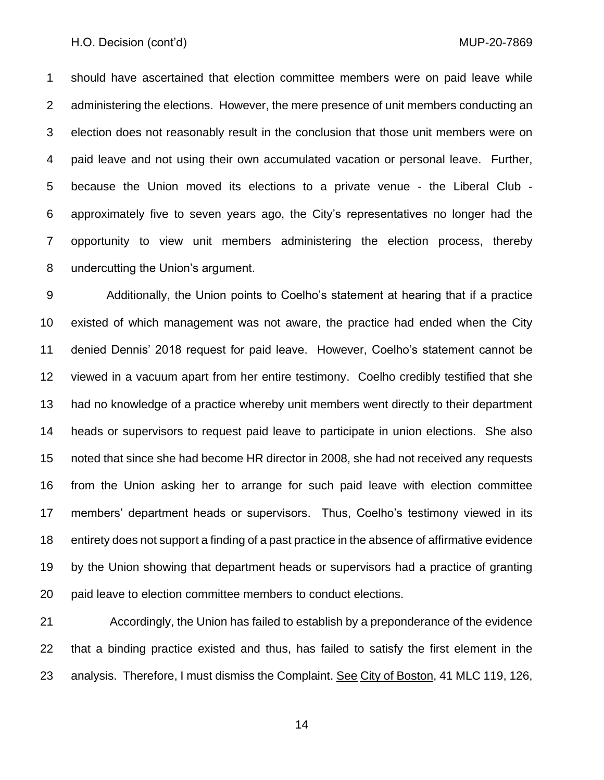should have ascertained that election committee members were on paid leave while administering the elections. However, the mere presence of unit members conducting an election does not reasonably result in the conclusion that those unit members were on paid leave and not using their own accumulated vacation or personal leave. Further, because the Union moved its elections to a private venue - the Liberal Club - approximately five to seven years ago, the City's representatives no longer had the opportunity to view unit members administering the election process, thereby undercutting the Union's argument.

 Additionally, the Union points to Coelho's statement at hearing that if a practice existed of which management was not aware, the practice had ended when the City denied Dennis' 2018 request for paid leave. However, Coelho's statement cannot be viewed in a vacuum apart from her entire testimony. Coelho credibly testified that she had no knowledge of a practice whereby unit members went directly to their department heads or supervisors to request paid leave to participate in union elections. She also noted that since she had become HR director in 2008, she had not received any requests from the Union asking her to arrange for such paid leave with election committee members' department heads or supervisors. Thus, Coelho's testimony viewed in its entirety does not support a finding of a past practice in the absence of affirmative evidence by the Union showing that department heads or supervisors had a practice of granting paid leave to election committee members to conduct elections.

 Accordingly, the Union has failed to establish by a preponderance of the evidence that a binding practice existed and thus, has failed to satisfy the first element in the 23 analysis. Therefore, I must dismiss the Complaint. See City of Boston, 41 MLC 119, 126,